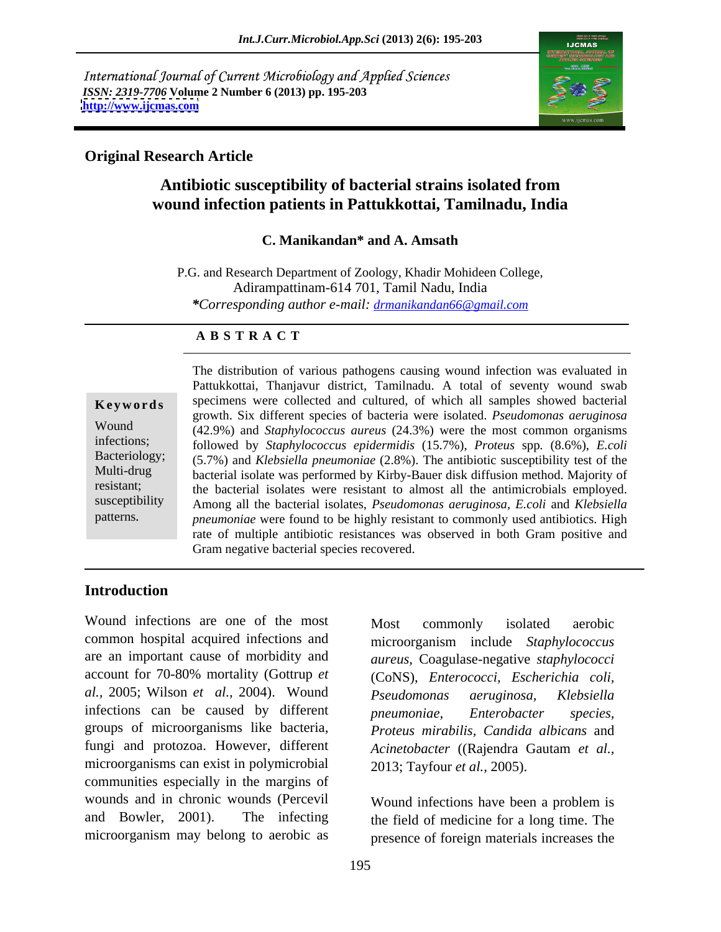International Journal of Current Microbiology and Applied Sciences *ISSN: 2319-7706* **Volume 2 Number 6 (2013) pp. 195-203 <http://www.ijcmas.com>**



# **Original Research Article**

# **Antibiotic susceptibility of bacterial strains isolated from wound infection patients in Pattukkottai, Tamilnadu, India**

### **C. Manikandan\* and A. Amsath**

P.G. and Research Department of Zoology, Khadir Mohideen College, Adirampattinam-614 701, Tamil Nadu, India *\*Corresponding author e-mail: drmanikandan66@gmail.com*

## **A B S T R A C T**

susceptibility Among all the bacterial isolates, *Pseudomonas aeruginosa, E.coli* and *Klebsiella* **Keywords** specimens were collected and cultured, of which all samples showed bacterial Wound (42.9%) and *Staphylococcus aureus* (24.3%) were the most common organisms infections; followed by *Staphylococcus epidermidis* (15.7%), *Proteus* spp*.* (8.6%), *E.coli*  Bacteriology; (5.7%) and *Klebsiella pneumoniae* (2.8%). The antibiotic susceptibility test of the Multi-drug bacterial isolate was performed by Kirby-Bauer disk diffusion method. Majority of resistant; the bacterial isolates were resistant to almost all the antimicrobials employed. The distribution of various pathogens causing wound infection was evaluated in<br>
Pattukkottai, Thanjavur district, Tamilnadu. A total of seventy wound swab<br>
specimens were collected and cultured, of which all samples showed Pattukkottai, Thanjavur district, Tamilnadu. A total of seventy wound swab growth. Six different species of bacteria were isolated. *Pseudomonas aeruginosa pneumoniae* were found to be highly resistant to commonly used antibiotics. High rate of multiple antibiotic resistances was observed in both Gram positive and Gram negative bacterial species recovered.

# **Introduction**

Wound infections are one of the most Most commonly isolated aerobic common hospital acquired infections and microorganism include *Staphylococcus*  are an important cause of morbidity and account for 70-80% mortality (Gottrup *et al.,* 2005; Wilson *et al.,* 2004). Wound infections can be caused by different *pneumoniae*, *Enterobacter species*, groups of microorganisms like bacteria, *Proteus mirabilis, Candida albicans* and fungi and protozoa. However, different microorganisms can exist in polymicrobial communities especially in the margins of wounds and in chronic wounds (Percevil and Bowler, 2001). The infecting the field of medicine for a long time. The microorganism may belong to aerobic as

.

Most commonly isolated aerobic *aureus*, Coagulase-negative *staphylococci*  (CoNS), *Enterococci, Escherichia coli, Pseudomonas aeruginosa, Klebsiella pneumoniae, Enterobacter species, Acinetobacter* ((Rajendra Gautam *et al.,* 2013; Tayfour *et al.,* 2005).

Wound infections have been a problem is presence of foreign materials increases the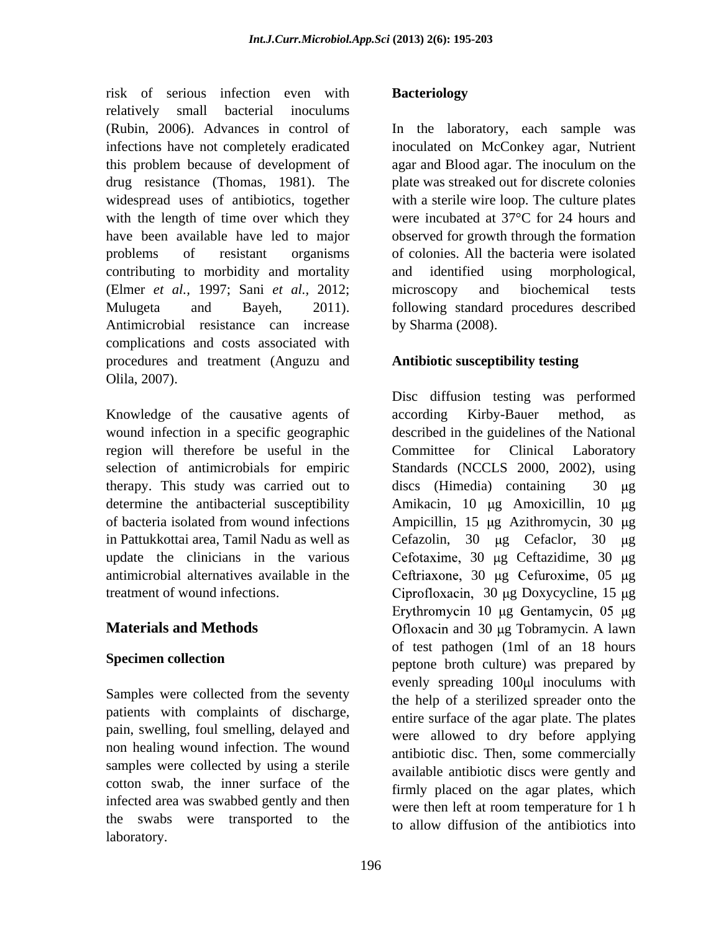risk of serious infection even with **Bacteriology** relatively small bacterial inoculums (Rubin, 2006). Advances in control of In the laboratory, each sample was infections have not completely eradicated inoculated on McConkey agar, Nutrient this problem because of development of agar and Blood agar. The inoculum on the drug resistance (Thomas, 1981). The plate was streaked out for discrete colonies widespread uses of antibiotics, together with a sterile wire loop. The culture plates with the length of time over which they have been available have led to major problems of resistant organisms of colonies. All the bacteria were isolated contributing to morbidity and mortality and identified using morphological, (Elmer *et al.,* 1997; Sani *et al.,* 2012; Mulugeta and Bayeh, 2011). following standard procedures described Antimicrobial resistance can increase complications and costs associated with procedures and treatment (Anguzu and Olila, 2007).

Knowledge of the causative agents of according Kirby-Bauer method, as region will therefore be useful in the Committee for Clinical Laboratory therapy. This study was carried out to

Samples were collected from the seventy patients with complaints of discharge, pain, swelling, foul smelling, delayed and non healing wound infection. The wound samples were collected by using a sterile cotton swab, the inner surface of the infected area was swabbed gently and then were then left at room temperature for 1 h the swabs were transported to the to allow diffusion of the antibiotics into laboratory.

## **Bacteriology**

were incubated at 37°C for 24 hours and observed for growth through the formation and identified using morphological, microscopy and biochemical tests by Sharma (2008).

### **Antibiotic susceptibility testing**

wound infection in a specific geographic described in the guidelines of the National selection of antimicrobials for empiric Standards (NCCLS 2000, 2002), using determine the antibacterial susceptibility Amikacin, 10 µg Amoxicillin, 10 µg of bacteria isolated from wound infections Ampicillin, 15 μg Azithromycin, 30 μg in Pattukkottai area, Tamil Nadu as well as Cefazolin, 30 µg Cefaclor, 30 µg update the clinicians in the various Cefotaxime, 30 µg Ceftazidime, 30 µg antimicrobial alternatives available in the  $\qquad$  Ceftriaxone, 30 µg Cefuroxime, 05 µg treatment of wound infections. Ciprofloxacin, 30 μg Doxycycline, 15 μg **Materials and Methods Choxacin and 30 µg Tobramycin.** A lawn **Specimen collection** Disc diffusion testing was performed according Kirby-Bauer method, as Committee for Clinical Laboratory discs (Himedia) containing Erythromycin 10 µg Gentamycin, 05 µg and 30 µg Tobramycin. A lawn of test pathogen (1ml of an 18 hours evenly spreading  $100 \mu l$  inoculums with the help of a sterilized spreader onto the entire surface of the agar plate. The plates were allowed to dry before applying antibiotic disc. Then, some commercially available antibiotic discs were gently and firmly placed on the agar plates, which were then left at room temperature for 1 h to allow diffusion of the antibiotics into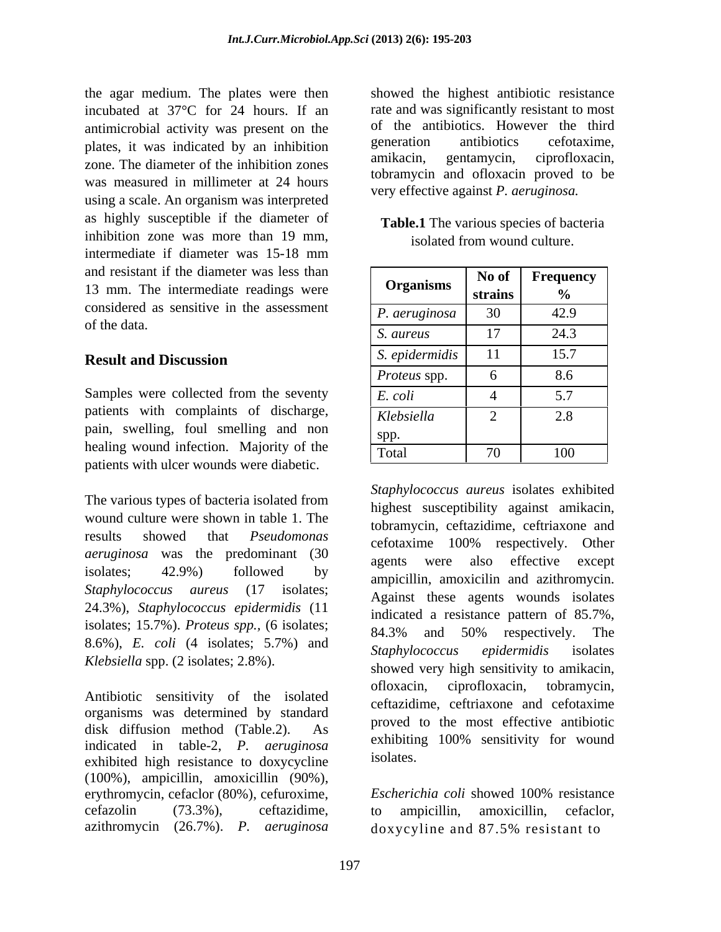the agar medium. The plates were then incubated at 37°C for 24 hours. If an antimicrobial activity was present on the of the antibiotics. However the third<br>plates it was indicated by an inhibition generation antibiotics cefotaxime. plates, it was indicated by an inhibition generation antibotics cerotaxime,<br>next annihibition and performance and annihibition and annihibition and performance in the ciprofloxacin, zone. The diameter of the inhibition zones was measured in millimeter at 24 hours using a scale. An organism was interpreted as highly susceptible if the diameter of inhibition zone was more than 19 mm, intermediate if diameter was 15-18 mm and resistant if the diameter was less than 13 mm. The intermediate readings were considered as sensitive in the assessment of the data.  $\frac{6}{s}$  and  $\frac{17}{17}$  and  $\frac{24.2}{s}$ 

Samples were collected from the seventy  $E. \text{ coli}$  4 5.7 patients with complaints of discharge, pain, swelling, foul smelling and non healing wound infection. Majority of the patients with ulcer wounds were diabetic.

The various types of bacteria isolated from wound culture were shown in table 1. The results showed that *Pseudomonas* cefotaxime 100% respectively. Other *aeruginosa* was the predominant (30 *agents* were also effective except 24.3%), *Staphylococcus epidermidis* (11 isolates; 15.7%). *Proteus spp.,* (6 isolates; 8.6%), *E. coli* (4 isolates; 5.7%) and *Klebsiella* spp. (2 isolates; 2.8%).

organisms was determined by standard disk diffusion method (Table.2). As the proved to the most effective antibodic<br>exhibiting 100% sensitivity for wound indicated in table-2, *P. aeruginosa* exhibited high resistance to doxycycline (100%), ampicillin, amoxicillin (90%), erythromycin, cefaclor (80%), cefuroxime, Escherichia coli showed 100% resistance cefazolin (73.3%), ceftazidime,

showed the highest antibiotic resistance rate and was significantly resistant to most of the antibiotics. However the third generation antibiotics cefotaxime, amikacin, gentamycin, ciprofloxacin, tobramycin and ofloxacin proved to be very effective against *P. aeruginosa.*

| <b>Table.1</b><br>The various species of bacteria |
|---------------------------------------------------|
| isolated from wound c<br>culture.                 |

| No of Frequency<br><b>Organisms</b><br>strains<br>P. aeruginosa<br>S. aureus<br>S. epidermidis<br><i>Proteus</i> spp.<br>E. coli<br>Klebsiella<br>pain, swelling, foul smelling and non<br>spp.<br>healing wound infection. Majority of the<br>Total |                                             |  |      |
|------------------------------------------------------------------------------------------------------------------------------------------------------------------------------------------------------------------------------------------------------|---------------------------------------------|--|------|
|                                                                                                                                                                                                                                                      | and resistant if the diameter was less than |  |      |
|                                                                                                                                                                                                                                                      | 13 mm. The intermediate readings were       |  |      |
|                                                                                                                                                                                                                                                      | considered as sensitive in the assessment   |  | 42.9 |
|                                                                                                                                                                                                                                                      | of the data.                                |  | 24.3 |
|                                                                                                                                                                                                                                                      | <b>Result and Discussion</b>                |  | 15.7 |
|                                                                                                                                                                                                                                                      |                                             |  | 8.6  |
|                                                                                                                                                                                                                                                      | Samples were collected from the seventy     |  | 5.7  |
|                                                                                                                                                                                                                                                      | patients with complaints of discharge,      |  | 2.8  |
|                                                                                                                                                                                                                                                      |                                             |  |      |
|                                                                                                                                                                                                                                                      | patients with ulcer wounds were dishetic    |  | 100  |

 $\frac{1}{2}$  isolates;  $42.9\%$  followed by  $\frac{1}{2}$  empirities and exit energy isolates; *Staphylococcus aureus* (17 isolates; Against these agents wounds isolates) Antibiotic sensitivity of the isolated of officialing extraormorphisms and exterime *Staphylococcus aureus* isolates exhibited highest susceptibility against amikacin, tobramycin, ceftazidime, ceftriaxone and cefotaxime 100% respectively. Other agents were also effective except ampicillin, amoxicilin and azithromycin. indicated a resistance pattern of 85.7%, 84.3% and 50% respectively. The *Staphylococcus epidermidis* isolates showed very high sensitivity to amikacin, ofloxacin, ciprofloxacin, tobramycin, ceftazidime, ceftriaxone and cefotaxime proved to the most effective antibiotic exhibiting 100% sensitivity for wound isolates.

azithromycin (26.7%). *P. aeruginosa Escherichia coli* showed 100% resistance to ampicillin, amoxicillin, cefaclor, doxycyline and 87.5% resistant to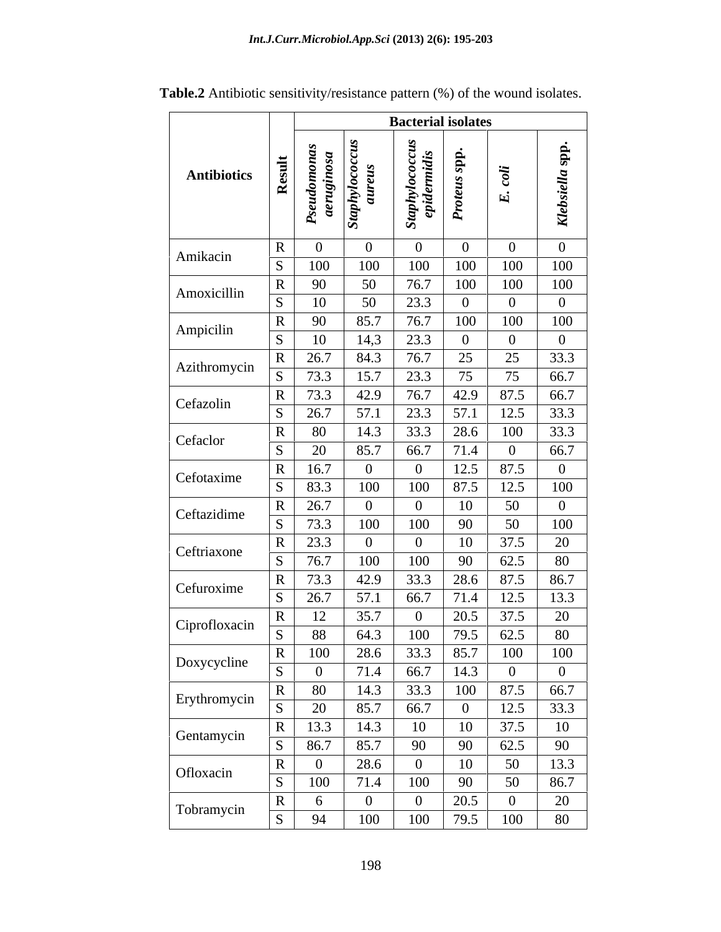|                    |                                |                       |                       | <b>Bacterial isolates</b>   |                       |                            |                  |
|--------------------|--------------------------------|-----------------------|-----------------------|-----------------------------|-----------------------|----------------------------|------------------|
|                    |                                |                       |                       |                             | dds                   |                            | spp.             |
| <b>Antibiotics</b> | Result                         | angi<br>S             | oloda<br>aur          | taphylococcu<br>epidermidis | <b>Proteus</b>        | $\ddot{o}$<br>$\mathbf{E}$ | Klebsiella       |
|                    |                                |                       |                       |                             |                       |                            |                  |
| Amikacin           | $\mathbf{R}$<br>$\overline{S}$ | $\overline{0}$<br>100 | $\overline{0}$<br>100 | $\overline{0}$<br>100       | $\overline{0}$<br>100 | $\Omega$<br>100            | 100              |
|                    | $\mathbf{R}$                   | 90                    | 50                    | 76.7                        | 100                   | 100                        | 100              |
| Amoxicillin        | $\overline{s}$                 | 10                    | 50                    | 23.3                        | $\overline{0}$        | $\Omega$                   | $\boldsymbol{0}$ |
| Ampicilin          | $\mathbf{R}$                   | 90                    | 85.7                  | 76.7                        | 100                   | 100                        | 100              |
|                    | S                              | 10                    | 14,3                  | 23.3                        | $\theta$              | $\Omega$                   |                  |
| Azithromycin       | $\bf R$                        | 26.7                  | 84.3                  | 76.7                        | 25                    | 25                         | 33.3             |
|                    | <sub>S</sub>                   | 73.3                  | 15.7                  | 23.3                        | 75                    | 75                         | 66.7             |
| Cefazolin          | $\mathbf{R}$<br>S              | 73.3<br>26.7          | 42.9                  | 76.7                        | 42.9                  | 87.5                       | 66.7<br>33.3     |
|                    | $\bf R$                        | 80                    | 57.1<br>14.3          | 23.3<br>33.3                | 57.1<br>28.6          | 12.5<br>100                | 33.3             |
| Cefaclor           | S                              | 20                    | 85.7                  | 66.7                        | 71.4                  |                            | 66.7             |
|                    | $\mathbf{R}$                   | 16.7                  | $\overline{0}$        | $\boldsymbol{0}$            | 12.5                  | 87.5                       |                  |
| Cefotaxime         | S                              | 83.3                  | 100                   | 100                         | 87.5                  | 12.5                       | 100              |
|                    | $\mathbf{R}$                   | 26.7                  | $\mathbf{0}$          | $\overline{0}$              | 10                    | 50                         |                  |
| Ceftazidime        | $S_{\text{}}$                  | 73.3                  | 100                   | 100                         | 90                    | 50                         | 100              |
| Ceftriaxone        | $\mathbf{R}$                   | 23.3                  | $\overline{0}$        | $\overline{0}$              | 10                    | 37.5                       | 20               |
|                    | S                              | 76.7                  | 100                   | 100                         | 90                    | 62.5                       | 80               |
| Cefuroxime         | R                              | 73.3                  | 42.9                  | 33.3                        | 28.6                  | 87.5                       | 86.7             |
|                    | S                              | 26.7                  | 57.1                  | 66.7                        | 71.4                  | 12.5                       | 13.3             |
| Ciprofloxacin      | $\mathbf R$<br>$\overline{S}$  | 12<br>88              | 35.7<br>64.3          | $\overline{0}$<br>100       | 20.5<br>79.5          | 37.5<br>62.5               | 20<br>80         |
|                    | $\mathbf{R}$                   | 100                   | 28.6                  | 33.3                        | 85.7                  | 100                        | 100              |
| Doxycycline        |                                |                       | 71.4                  | 66.7                        | 14.3                  |                            |                  |
|                    | $\mathbf{R}$                   | 80                    | 14.3                  | 33.3                        | 100                   | 87.5                       | 66.7             |
| Erythromycin       | <sub>S</sub>                   | 20                    | 85.7                  | 66.7                        | $\overline{0}$        | 12.5                       | 33.3             |
|                    | R                              | $\overline{13.3}$     | 14.3                  | 10                          | 10                    | 37.5                       | 10               |
| Gentamycin         | S                              | 86.7                  | 85.7                  | 90                          | 90                    | 62.5                       | 90               |
| Ofloxacin          | $\mathbf{R}$                   |                       | 28.6                  | $\overline{0}$              | 10                    | 50                         | 13.3             |
|                    | S                              | 100                   | 71.4                  | 100                         | 90                    | 50                         | 86.7             |
| Tobramycin         | R                              | $6\overline{6}$       | $\overline{0}$        | $\overline{0}$              | 20.5                  | $\overline{0}$             | 20               |
|                    | $\overline{S}$                 | 94                    | 100                   | 100                         | 79.5                  | 100                        | 80               |

**Table.2** Antibiotic sensitivity/resistance pattern (%) of the wound isolates.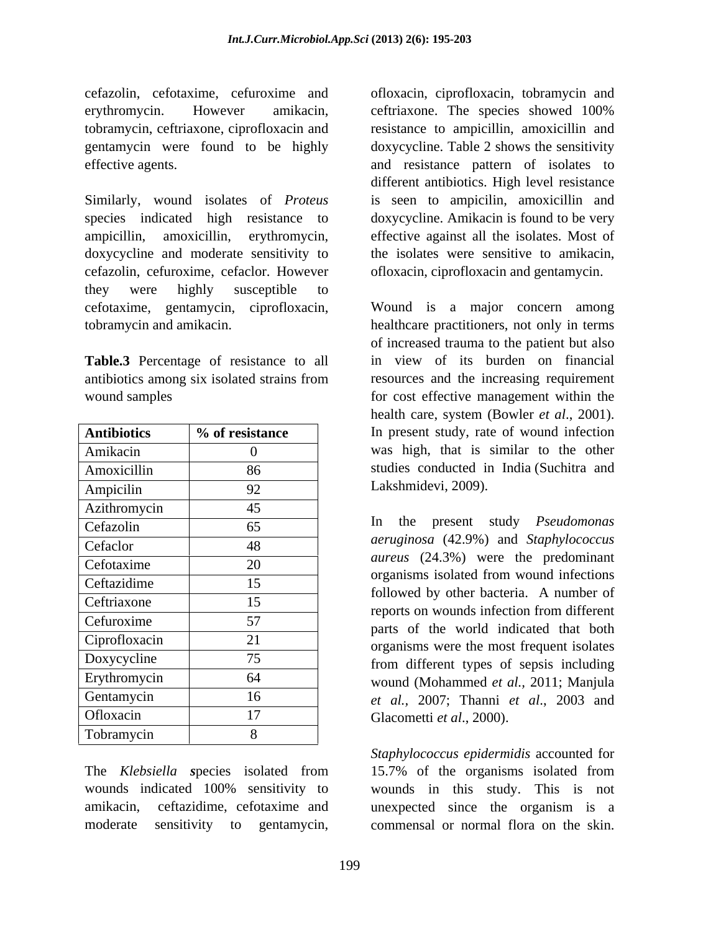cefazolin, cefotaxime, cefuroxime and ofloxacin, ciprofloxacin, tobramycin and erythromycin. However amikacin, ceftriaxone. The species showed 100% tobramycin, ceftriaxone, ciprofloxacin and resistance to ampicillin, amoxicillin and gentamycin were found to be highly effective agents. The same state of isolates to and resistance pattern of isolates to

Similarly, wound isolates of *Proteus* is seen to ampicilin, amoxicillin and species indicated high resistance to doxycycline. Amikacin is found to be very ampicillin, amoxicillin, erythromycin, effective against all the isolates. Most of doxycycline and moderate sensitivity to cefazolin, cefuroxime, cefaclor. However ofloxacin, ciprofloxacin and gentamycin. they were highly susceptible to cefotaxime, gentamycin, ciprofloxacin,

**Table.3** Percentage of resistance to all

| <b>Antibiotics</b> | % of resistance | In present study, rate of wound infection                                             |
|--------------------|-----------------|---------------------------------------------------------------------------------------|
| Amikacin           | 0               | was high, that is similar to the other                                                |
| Amoxicillin        | 86              | studies conducted in India (Suchitra and                                              |
| Ampicilin          | 92              | Lakshmidevi, 2009).                                                                   |
| Azithromycin       | 45              |                                                                                       |
| Cefazolin          | 65              | In the present study <i>Pseudomonas</i>                                               |
| Cefaclor           | 48              | aeruginosa (42.9%) and Staphylococcus                                                 |
| Cefotaxime         | 20              | <i>aureus</i> (24.3%) were the predominant                                            |
| Ceftazidime        | 15              | organisms isolated from wound infections                                              |
| Ceftriaxone        | 15              | followed by other bacteria. A number of<br>reports on wounds infection from different |
| Cefuroxime         | 57              | parts of the world indicated that both                                                |
| Ciprofloxacin      | 21              | organisms were the most frequent isolates                                             |
| Doxycycline        | 75              | from different types of sepsis including                                              |
| Erythromycin       | 64              | wound (Mohammed et al., 2011; Manjula                                                 |
| Gentamycin         | 16              | et al., 2007; Thanni et al., 2003 and                                                 |
| Ofloxacin          | 17              | Glacometti et al., 2000).                                                             |
| Tobramycin         |                 |                                                                                       |

ceftriaxone. The species showed 100% doxycycline. Table 2 shows the sensitivity different antibiotics. High level resistance the isolates were sensitive to amikacin,

tobramycin and amikacin. healthcare practitioners, not only in terms antibiotics among six isolated strains from wound samples for cost effective management within the Antibiotics **1**% of resistance I in present study, rate of wound infection Amikacin 1 0 0 was high, that is similar to the other Amoxicillin 86 studies conducted in India (Suchitra and Wound is a major concern among of increased trauma to the patient but also in view of its burden on financial resources and the increasing requirement health care, system (Bowler *et al*., 2001). Lakshmidevi, 2009).

 $Cefazolin$  65 m in the present study *Pseudomonds*  $Cefactor$  48  $\frac{1}{2\sqrt{2}}$   $\frac{1}{2\sqrt{2}}$   $\frac{1}{2\sqrt{2}}$   $\frac{1}{2\sqrt{2}}$   $\frac{1}{2\sqrt{2}}$   $\frac{1}{2\sqrt{2}}$   $\frac{1}{2\sqrt{2}}$   $\frac{1}{2\sqrt{2}}$   $\frac{1}{2\sqrt{2}}$   $\frac{1}{2\sqrt{2}}$   $\frac{1}{2\sqrt{2}}$   $\frac{1}{2\sqrt{2}}$   $\frac{1}{2\sqrt{2}}$   $\frac{1}{2\sqrt{2}}$   $\frac{1}{2\sqrt{2}}$   $\$ Cefotaxime  $20$  antens  $(24.5\%)$  were the predominant  $Ceftazidine$  15  $15$   $Cyl$  11  $d$   $l$   $l$   $l$   $l$   $l$   $l$   $l$ Ceftriaxone 15 15 contra en un de infection from different Cefuroxime 57 57 persons were determined that has been Ciprofloxacin 21 organisms were the most frequent isolates Doxycycline 75 from different types of sepsis including Erythromycin 64 wound (Mohammed *et al.*, 2011; Manjula Gentamycin 16 *et al.,* 2007; Thanni *et al*., 2003 and Ofloxacin 17 17 Glacometti *et al.*, 2000). In the present study *Pseudomonas aeruginosa* (42.9%) and *Staphylococcus aureus* (24.3%) were the predominant organisms isolated from wound infections followed by other bacteria. A number of reports on wounds infection from different parts of the world indicated that both Glacometti *et al*., 2000).

The *Klebsiella* species isolated from 15.7% of the organisms isolated from wounds indicated 100% sensitivity to wounds in this study. This is not amikacin, ceftazidime, cefotaxime and unexpected since the organism is a moderate sensitivity to gentamycin, commensal or normal flora on the skin.*Staphylococcus epidermidis* accounted for 15.7% of the organisms isolated from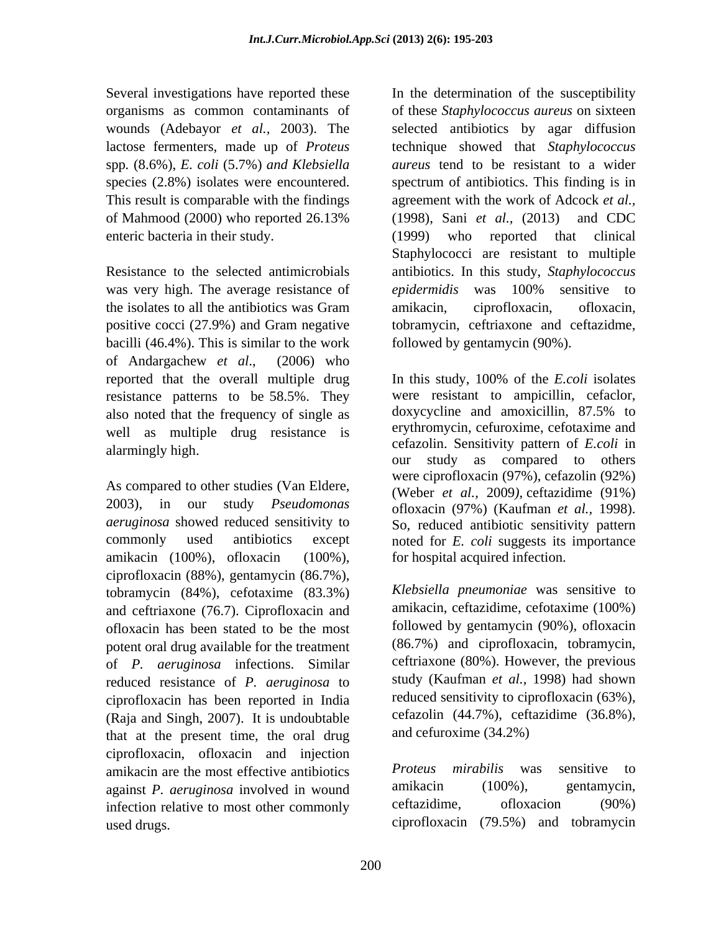enteric bacteria in their study. (1999) who reported that clinical

was very high. The average resistance of *epidermidis* was 100% sensitive to the isolates to all the antibiotics was Gram amikacin, ciprofloxacin, ofloxacin, bacilli (46.4%). This is similar to the work of Andargachew *et al*., (2006) who reported that the overall multiple drug In this study, 100% of the *E.coli* isolates resistance patterns to be 58.5%. They were resistant to ampicillin, cefaclor, also noted that the frequency of single as doxycycline and amoxicillin, 87.5% to also noted that the frequency of single as well as multiple drug resistance is

As compared to other studies (Van Eldere, 2003), in our study *Pseudomonas aeruginosa* showed reduced sensitivity to So, reduced antibiotic sensitivity pattern amikacin (100%), ofloxacin (100%), ciprofloxacin (88%), gentamycin (86.7%), tobramycin (84%), cefotaxime (83.3%) and ceftriaxone (76.7). Ciprofloxacin and ofloxacin has been stated to be the most potent oral drug available for the treatment of *P. aeruginosa* infections. Similar reduced resistance of *P. aeruginosa* to ciprofloxacin has been reported in India (Raja and Singh, 2007). It is undoubtable that at the present time, the oral drug ciprofloxacin, ofloxacin and injection amikacin are the most effective antibiotics *Proteus mirabilis* was sensitive to<br>against *P acruainesa* involved in wound amikacin (100%), gentamycin. against *P. aeruginosa* involved in wound<br>infection relative to most other commonly ceftazidime. of loxacion (90%) infection relative to most other commonly ceftazidime, ofloxacion used drugs. ciprofloxacin (79.5%) and tobramycin

Several investigations have reported these In the determination of the susceptibility organisms as common contaminants of of these *Staphylococcus aureus* on sixteen wounds (Adebayor *et al.,* 2003). The selected antibiotics by agar diffusion lactose fermenters, made up of *Proteus*  technique showed that *Staphylococcus*  spp*.* (8.6%), *E. coli* (5.7%) *and Klebsiella aureus* tend to be resistant to a wider species (2.8%) isolates were encountered. spectrum of antibiotics. This finding is in This result is comparable with the findings agreement with the work of Adcock *et al.,* of Mahmood (2000) who reported 26.13% (1998), Sani *et al.*, (2013) and CDC Resistance to the selected antimicrobials antibiotics. In this study, *Staphylococcus*  positive cocci (27.9%) and Gram negative tobramycin, ceftriaxone and ceftazidme, (1998), Sani *et al.,* (2013) and CDC (1999) who reported that clinical Staphylococci are resistant to multiple *epidermidis* was 100% sensitive to amikacin, ciprofloxacin, ofloxacin, followed by gentamycin (90%).

alarmingly high. commonly used antibiotics except noted for *E. coli* suggests its importance In this study, 100% of the *E.coli* isolates were resistant to ampicillin, cefaclor, doxycycline and amoxicillin, 87.5% to erythromycin, cefuroxime, cefotaxime and our study as compared to others were ciprofloxacin (97%), cefazolin (92%) (Weber *et al.,* 2009*)*, ceftazidime (91%) ofloxacin (97%) (Kaufman *et al.,* 1998). So, reduced antibiotic sensitivity pattern for hospital acquired infection.

> *Klebsiella pneumoniae* was sensitive to amikacin, ceftazidime, cefotaxime (100%) followed by gentamycin (90%), ofloxacin (86.7%) and ciprofloxacin, tobramycin, ceftriaxone (80%). However, the previous study (Kaufman *et al.,* 1998) had shown reduced sensitivity to ciprofloxacin (63%), cefazolin (44.7%), ceftazidime (36.8%), and cefuroxime (34.2%)

*Proteus mirabilis* was sensitive to amikacin (100%), gentamycin, ceftazidime, ofloxacion (90%)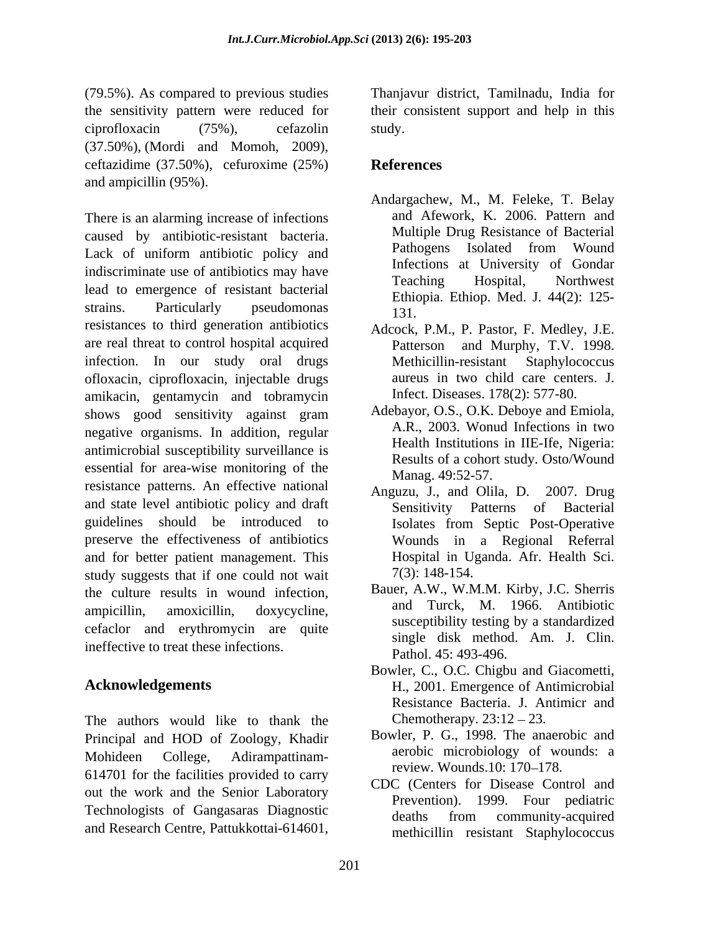(79.5%). As compared to previous studies Thanjavur district, Tamilnadu, India for the sensitivity pattern were reduced for their consistent support and help in this ciprofloxacin (75%), cefazolin (37.50%), (Mordi and Momoh, 2009), ceftazidime (37.50%), cefuroxime (25%)

caused by antibiotic-resistant bacteria. Multiple Drug Resistance of Bacterial<br>Legle of uniform antibiotic policy and Pathogens Isolated from Wound Lack of uniform antibiotic policy and indiscriminate use of antibiotics may have meeting Hospital, Northwest lead to emergence of resistant bacterial strains. Particularly pseudomonas  $\frac{2\pi}{131}$ resistances to third generation antibiotics are real threat to control hospital acquired infection. In our study oral drugs Methicillin-resistant Staphylococcus ofloxacin, ciprofloxacin, injectable drugs amikacin, gentamycin and tobramycin shows good sensitivity against gram Adebayor, O.S., O.K. Deboye and Emiola, negative organisms. In addition, regular antimicrobial susceptibility surveillance is essential for area-wise monitoring of the<br>Manag. 49:52-57. resistance patterns. An effective national Anguzu, J., and Olila, D. 2007. Drug and state level antibiotic policy and draft Sensitivity Patterns of Bacterial guidelines should be introduced to Isolates from Septic Post-Operative preserve the effectiveness of antibiotics and for better patient management. This study suggests that if one could not wait the culture results in wound infection, ampicillin, amoxicillin, doxycycline, and turck, M. 1900. Anubiouc cefaclor and erythromycin are quite ineffective to treat these infections.

The authors would like to thank the Principal and HOD of Zoology, Khadir Mohideen College, Adirampattinam-<br> $\frac{\text{aerooc}}{\text{aerooc}}$  micropiology of wounds: a 614701 for the facilities provided to carry  $\overline{CDG}$  ( $\overline{G}$ ). The facilities provided to carry  $\overline{CDG}$ ). out the work and the Senior Laboratory Technologists of Gangasaras Diagnostic deaths from community-acquired and Research Centre, Pattukkottai-614601,

study.

# **References**

- and ampicillin (95%).<br>
Andargachew, M., M. Feleke, T. Belay<br>
There is an alarming increase of infections and Afework, K. 2006. Pattern and Andargachew, M., M. Feleke, T. Belay and Afework, K. 2006. Pattern and Multiple Drug Resistance of Bacterial Pathogens Isolated from Wound Infections at University of Gondar Teaching Hospital, Northwest Ethiopia. Ethiop. Med. J. 44(2): 125- 131.
	- Adcock, P.M., P. Pastor, F. Medley, J.E. Patterson and Murphy, T.V. 1998. Methicillin-resistant Staphylococcus aureus in two child care centers. J. Infect. Diseases. 178(2): 577-80.
	- Adebayor, O.S., O.K. Deboye and Emiola, A.R., 2003. Wonud Infections in two Health Institutions in IIE-Ife, Nigeria: Results of a cohort study. Osto/Wound
	- Manag. 49:52-57. Anguzu, J., and Olila, D. 2007. Drug Sensitivity Patterns of Bacterial Wounds in a Regional Referral Hospital in Uganda. Afr. Health Sci. 7(3): 148-154.
	- Bauer, A.W., W.M.M. Kirby, J.C. Sherris and Turck, M. 1966. Antibiotic susceptibility testing by a standardized single disk method. Am. J. Clin. Pathol. 45: 493-496.
- **Acknowledgements** H., 2001. Emergence of Antimicrobial Bowler, C., O.C. Chigbu and Giacometti, Resistance Bacteria. J. Antimicr and Chemotherapy.  $23:12-23$ .
	- Bowler, P. G., 1998. The anaerobic and aerobic microbiology of wounds: a review. Wounds.10: 170–178.
	- CDC (Centers for Disease Control and Prevention). 1999. Four pediatric deaths from community-acquired methicillin resistant Staphylococcus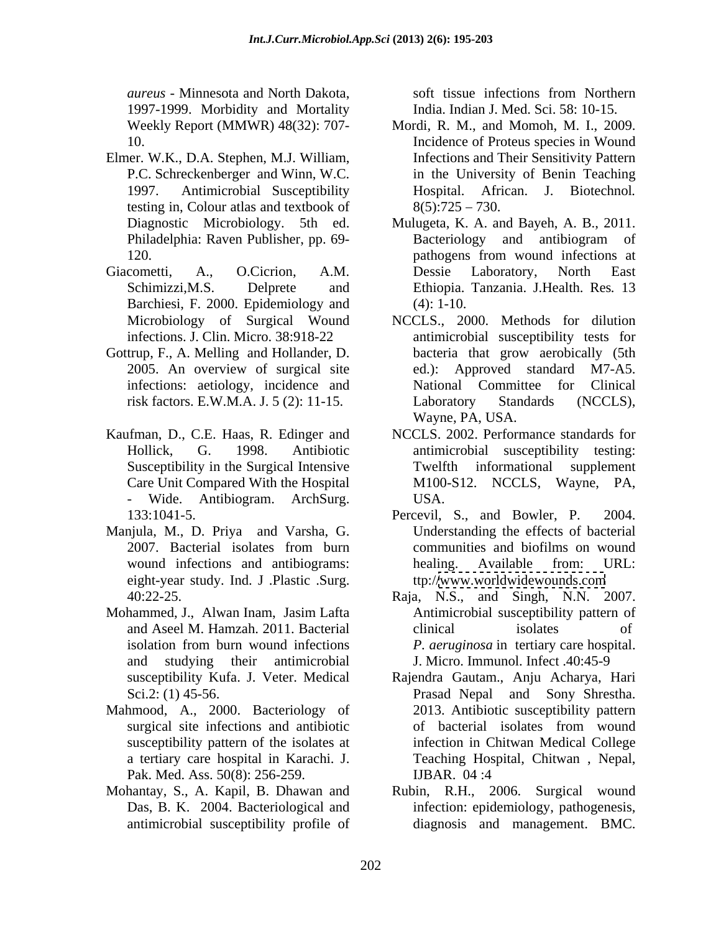*aureus* - Minnesota and North Dakota, 1997-1999. Morbidity and Mortality

- Elmer. W.K., D.A. Stephen, M.J. William, testing in, Colour atlas and textbook of
- Barchiesi, F. 2000. Epidemiology and (4): 1-10.
- Gottrup, F., A. Melling and Hollander, D.
- 
- eight-year study. Ind. J .Plastic .Surg.
- Mohammed, J., Alwan Inam, Jasim Lafta Antimicrobial susceptibility pattern of and studying their antimicrobial
- Mahmood, A., 2000. Bacteriology of a tertiary care hospital in Karachi. J. Pak. Med. Ass. 50(8): 256-259. **IJBAR.** 04:4
- Mohantay, S., A. Kapil, B. Dhawan and antimicrobial susceptibility profile of

soft tissue infections from Northern India. Indian J. Med. Sci. 58: 10-15.

- Weekly Report (MMWR) 48(32): 707- Mordi, R. M., and Momoh, M. I., 2009. 10. Incidence of Proteus species in Wound P.C. Schreckenberger and Winn, W.C. in the University of Benin Teaching 1997. Antimicrobial Susceptibility Hospital. African. J. Biotechnol*.* Infections and Their Sensitivity Pattern  $8(5):725 - 730.$
- Diagnostic Microbiology. 5th ed. Mulugeta, K. A. and Bayeh, A. B., 2011. Philadelphia: Raven Publisher, pp. 69- 120. **https://web/2016.** pathogens from wound infections at Giacometti, A., O.Cicrion, A.M. Schimizzi,M.S. Delprete and Ethiopia. Tanzania. J.Health. Res*.* 13 Bacteriology and antibiogram of pathogens from wound infections at Dessie Laboratory, North East (4): 1-10.
	- Microbiology of Surgical Wound NCCLS., 2000. Methods for dilution infections. J. Clin. Micro. 38:918-22 antimicrobial susceptibility tests for 2005. An overview of surgical site ed.): Approved standard M7-A5. infections: aetiology, incidence and Mational Committee for Clinical risk factors. E.W.M.A. J. 5 (2): 11-15. Laboratory Standards (NCCLS), bacteria that grow aerobically (5th National Committee for Laboratory Standards (NCCLS), Wayne, PA, USA.
- Kaufman, D., C.E. Haas, R. Edinger and NCCLS. 2002. Performance standards for Hollick, G. 1998. Antibiotic antimicrobial susceptibility testing: Susceptibility in the Surgical Intensive Twelfth informational supplement Care Unit Compared With the Hospital M100-S12. NCCLS, Wayne, PA, - Wide. Antibiogram. ArchSurg. Twelfth informational supplement USA.
- 133:1041-5. Manjula, M., D. Priya and Varsha, G. 2007. Bacterial isolates from burn communities and biofilms on wound wound infections and antibiograms: healing. Available from: URL: Percevil, S., and Bowler, P. 2004. Understanding the effects of bacterial communities and biofilms on wound healing. Available from: URL: ttp:/[/www.worldwidewounds.com](http://www.worldwidewounds.com)
	- 40:22-25. Raja, N.S., and Singh, N.N. 2007. and Aseel M. Hamzah. 2011. Bacterial isolation from burn wound infections *P. aeruginosa* in tertiary care hospital. clinical isolates of J. Micro. Immunol. Infect .40:45-9
	- susceptibility Kufa. J. Veter. Medical Rajendra Gautam., Anju Acharya, Hari Sci.2: (1) 45-56. Prasad Nepal and Sony Shrestha. surgical site infections and antibiotic of bacterial isolates from wound susceptibility pattern of the isolates at infection in Chitwan Medical College 2013. Antibiotic susceptibility pattern of bacterial isolates from wound Teaching Hospital, Chitwan , Nepal, IJBAR. 04 :4
	- Das, B. K. 2004. Bacteriological and infection: epidemiology, pathogenesis, Rubin, R.H., 2006. Surgical wound diagnosis and management. BMC.